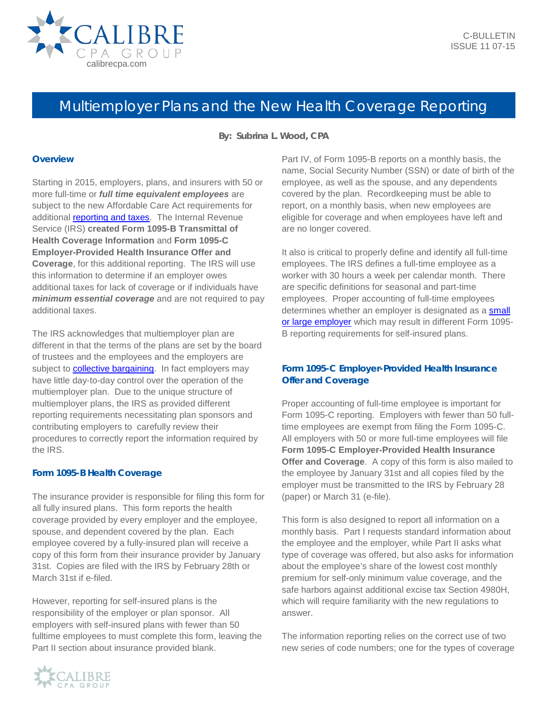

# Multiemployer Plans and the New Health Coverage Reporting

**By: Subrina L. Wood, CPA**

#### **Overview**

Starting in 2015, employers, plans, and insurers with 50 or more full-time or *full time equivalent employees* are subject to the new Affordable Care Act requirements for additional **reporting and taxes**. The Internal Revenue Service (IRS) **created Form 1095-B Transmittal of Health Coverage Information** and **Form 1095-C Employer-Provided Health Insurance Offer and Coverage**, for this additional reporting. The IRS will use this information to determine if an employer owes additional taxes for lack of coverage or if individuals have *minimum essential coverage* and are not required to pay additional taxes.

The IRS acknowledges that multiemployer plan are different in that the terms of the plans are set by the board of trustees and the employees and the employers are subject to **collective bargaining**. In fact employers may have little day-to-day control over the operation of the multiemployer plan. Due to the unique structure of multiemployer plans, the IRS as provided different reporting requirements necessitating plan sponsors and contributing employers to carefully review their procedures to correctly report the information required by the IRS.

## **Form 1095-B Health Coverage**

The insurance provider is responsible for filing this form for all fully insured plans. This form reports the health coverage provided by every employer and the employee, spouse, and dependent covered by the plan. Each employee covered by a fully-insured plan will receive a copy of this form from their insurance provider by January 31st. Copies are filed with the IRS by February 28th or March 31st if e-filed.

However, reporting for self-insured plans is the responsibility of the employer or plan sponsor. All employers with self-insured plans with fewer than 50 fulltime employees to must complete this form, leaving the Part II section about insurance provided blank.



It also is critical to properly define and identify all full-time employees. The IRS defines a full-time employee as a worker with 30 hours a week per calendar month. There are specific definitions for seasonal and part-time employees. Proper accounting of full-time employees determines whether an employer is designated as a **small** [or large employer](http://calibrecpa.com/industries/businesses/) which may result in different Form 1095-B reporting requirements for self-insured plans.

## **Form 1095-C Employer-Provided Health Insurance Offer and Coverage**

Proper accounting of full-time employee is important for Form 1095-C reporting. Employers with fewer than 50 fulltime employees are exempt from filing the Form 1095-C. All employers with 50 or more full-time employees will file **Form 1095-C Employer-Provided Health Insurance Offer and Coverage**. A copy of this form is also mailed to the employee by January 31st and all copies filed by the employer must be transmitted to the IRS by February 28 (paper) or March 31 (e-file).

This form is also designed to report all information on a monthly basis. Part I requests standard information about the employee and the employer, while Part II asks what type of coverage was offered, but also asks for information about the employee's share of the lowest cost monthly premium for self-only minimum value coverage, and the safe harbors against additional excise tax Section 4980H, which will require familiarity with the new regulations to answer.

The information reporting relies on the correct use of two new series of code numbers; one for the types of coverage